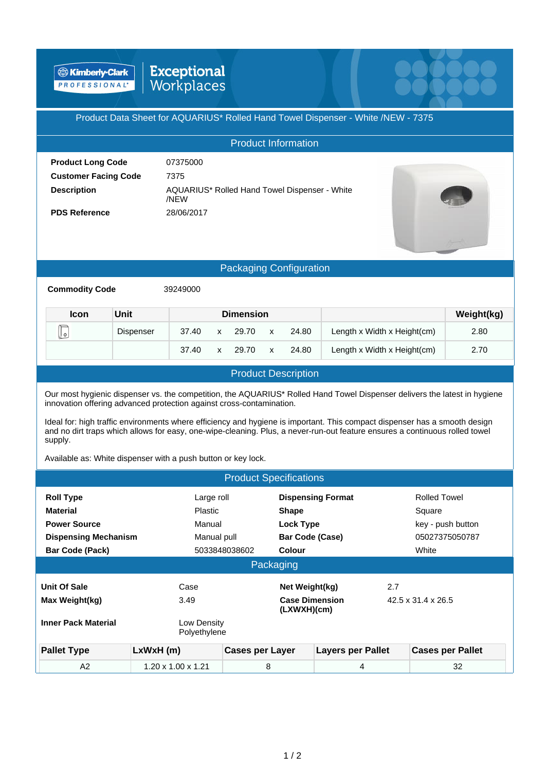**& Kimberly-Clark** PROFESSIONAL'

# Exceptional<br>Workplaces

### Product Data Sheet for AQUARIUS\* Rolled Hand Towel Dispenser - White /NEW - 7375

|                             | <b>Product Information</b>                            |  |
|-----------------------------|-------------------------------------------------------|--|
| <b>Product Long Code</b>    | 07375000                                              |  |
| <b>Customer Facing Code</b> | 7375                                                  |  |
| <b>Description</b>          | AQUARIUS* Rolled Hand Towel Dispenser - White<br>/NFW |  |
| <b>PDS Reference</b>        | 28/06/2017                                            |  |

#### Packaging Configuration

**Commodity Code** 39249000

| <b>Icon</b> | Unit             |       |              | <b>Dimension</b> |              |       |                             | Weight(kg) |
|-------------|------------------|-------|--------------|------------------|--------------|-------|-----------------------------|------------|
| كا          | <b>Dispenser</b> | 37.40 | $\mathsf{x}$ | 29.70            | $\mathbf{x}$ | 24.80 | Length x Width x Height(cm) | 2.80       |
|             |                  | 37.40 | $\mathsf{x}$ | 29.70            | $\mathbf{x}$ | 24.80 | Length x Width x Height(cm) | 2.70       |

## Product Description

Our most hygienic dispenser vs. the competition, the AQUARIUS\* Rolled Hand Towel Dispenser delivers the latest in hygiene innovation offering advanced protection against cross-contamination.

Ideal for: high traffic environments where efficiency and hygiene is important. This compact dispenser has a smooth design and no dirt traps which allows for easy, one-wipe-cleaning. Plus, a never-run-out feature ensures a continuous rolled towel supply.

Available as: White dispenser with a push button or key lock.

|                             |                                | <b>Product Specifications</b>        |                          |                                |
|-----------------------------|--------------------------------|--------------------------------------|--------------------------|--------------------------------|
| <b>Roll Type</b>            | Large roll                     |                                      | <b>Dispensing Format</b> | <b>Rolled Towel</b>            |
| <b>Material</b>             | <b>Plastic</b>                 | <b>Shape</b>                         |                          | Square                         |
| <b>Power Source</b>         | Manual                         | Lock Type                            |                          | key - push button              |
| <b>Dispensing Mechanism</b> | Manual pull                    | <b>Bar Code (Case)</b>               |                          | 05027375050787                 |
| <b>Bar Code (Pack)</b>      |                                | 5033848038602<br>Colour              |                          | White                          |
|                             |                                | Packaging                            |                          |                                |
| Unit Of Sale                | Case                           | Net Weight(kg)                       | 2.7                      |                                |
| Max Weight(kg)              | 3.49                           | <b>Case Dimension</b><br>(LXWXH)(cm) |                          | $42.5 \times 31.4 \times 26.5$ |
| <b>Inner Pack Material</b>  | Low Density<br>Polyethylene    |                                      |                          |                                |
| <b>Pallet Type</b>          | LxWxH(m)                       | <b>Cases per Layer</b>               | <b>Layers per Pallet</b> | <b>Cases per Pallet</b>        |
| A2                          | $1.20 \times 1.00 \times 1.21$ | 8                                    | 4                        | 32                             |